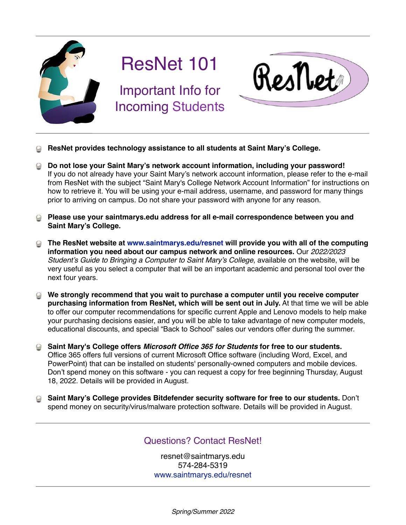

## ResNet 101

Important Info for Incoming Students



- **ResNet provides technology assistance to all students at Saint Mary's College.**
- **Do not lose your Saint Mary's network account information, including your password!**  If you do not already have your Saint Mary's network account information, please refer to the e-mail from ResNet with the subject "Saint Mary's College Network Account Information" for instructions on how to retrieve it. You will be using your e-mail address, username, and password for many things prior to arriving on campus. Do not share your password with anyone for any reason.
- **Please use your saintmarys.edu address for all e-mail correspondence between you and Saint Mary's College.**
- **The ResNet website at [www.saintmarys.edu/resnet](http://www.saintmarys.edu/resnet) will provide you with all of the computing information you need about our campus network and online resources.** Our *2022/2023 Student's Guide to Bringing a Computer to Saint Mary's College*, available on the website, will be very useful as you select a computer that will be an important academic and personal tool over the next four years.
- **We strongly recommend that you wait to purchase a computer until you receive computer**   $\odot$ **purchasing information from ResNet, which will be sent out in July.** At that time we will be able to offer our computer recommendations for specific current Apple and Lenovo models to help make your purchasing decisions easier, and you will be able to take advantage of new computer models, educational discounts, and special "Back to School" sales our vendors offer during the summer.
- **Saint Mary's College offers** *Microsoft Office 365 for Students* **for free to our students.** Office 365 offers full versions of current Microsoft Office software (including Word, Excel, and PowerPoint) that can be installed on students' personally-owned computers and mobile devices. Don't spend money on this software - you can request a copy for free beginning Thursday, August 18, 2022. Details will be provided in August.
- **Saint Mary's College provides Bitdefender security software for free to our students.** Don't spend money on security/virus/malware protection software. Details will be provided in August.

## Questions? Contact ResNet!

resnet@saintmarys.edu 574-284-5319 [www.saintmarys.edu/resnet](http://www.saintmarys.edu/resnet)

*Spring/Summer 2022*